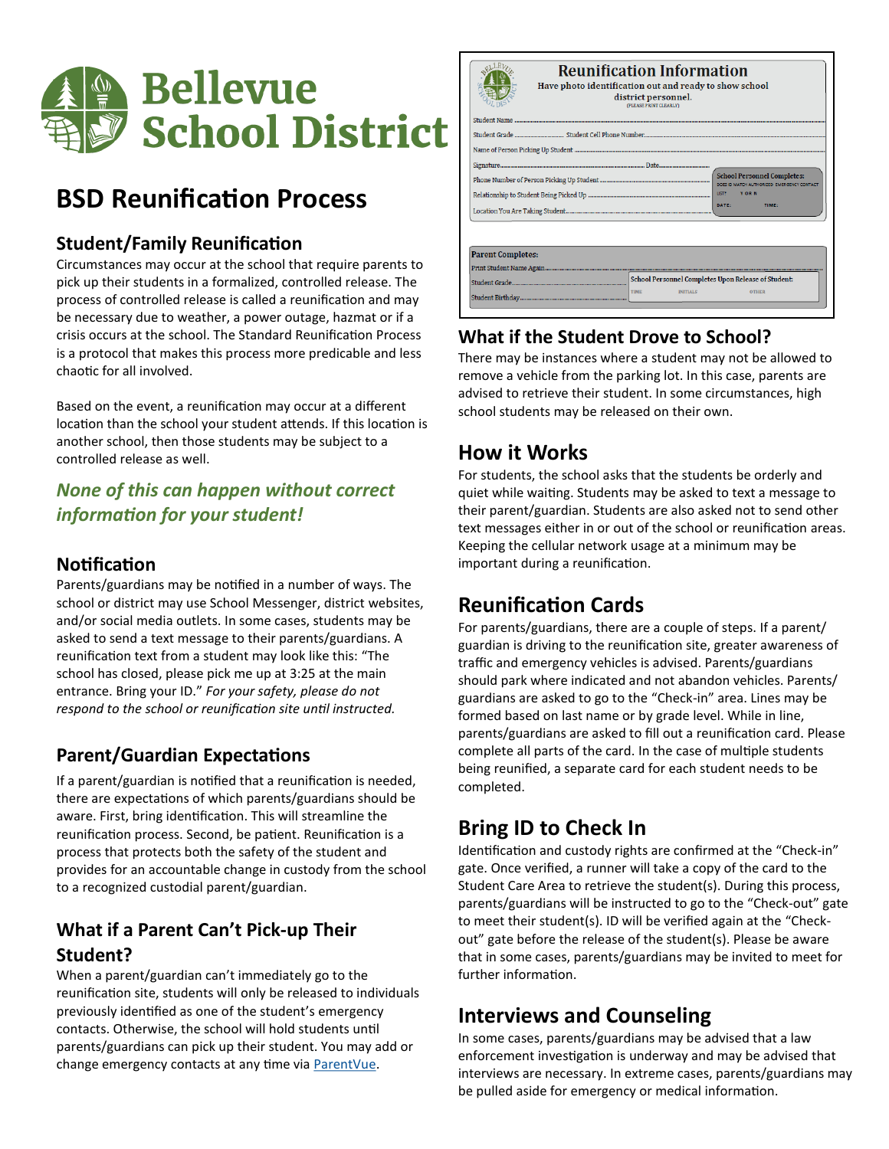

# **BSD Reunification Process**

#### **Student/Family Reunification**

Circumstances may occur at the school that require parents to pick up their students in a formalized, controlled release. The process of controlled release is called a reunification and may be necessary due to weather, a power outage, hazmat or if a crisis occurs at the school. The Standard Reunification Process is a protocol that makes this process more predicable and less chaotic for all involved.

Based on the event, a reunification may occur at a different location than the school your student attends. If this location is another school, then those students may be subject to a controlled release as well.

## *None of this can happen without correct information for your student!*

#### **Notification**

Parents/guardians may be notified in a number of ways. The school or district may use School Messenger, district websites, and/or social media outlets. In some cases, students may be asked to send a text message to their parents/guardians. A reunification text from a student may look like this: "The school has closed, please pick me up at 3:25 at the main entrance. Bring your ID." *For your safety, please do not respond to the school or reunification site until instructed.*

#### **Parent/Guardian Expectations**

If a parent/guardian is notified that a reunification is needed, there are expectations of which parents/guardians should be aware. First, bring identification. This will streamline the reunification process. Second, be patient. Reunification is a process that protects both the safety of the student and provides for an accountable change in custody from the school to a recognized custodial parent/guardian.

## **What if a Parent Can't Pick-up Their Student?**

When a parent/guardian can't immediately go to the reunification site, students will only be released to individuals previously identified as one of the student's emergency contacts. Otherwise, the school will hold students until parents/guardians can pick up their student. You may add or change emergency contacts at any time via [ParentVue.](https://wa-bsd405-psv.edupoint.com/PXP2_Login.aspx)

| <b>Reunification Information</b><br>Have photo identification out and ready to show school<br>district personnel.<br>(PLEASE PRINT CLEARLY) |                                                                                |                                                                                   |  |  |
|---------------------------------------------------------------------------------------------------------------------------------------------|--------------------------------------------------------------------------------|-----------------------------------------------------------------------------------|--|--|
|                                                                                                                                             |                                                                                |                                                                                   |  |  |
| LIST?<br>Y OR N<br>DATE:<br><b>TIME:</b>                                                                                                    |                                                                                | <b>School Personnel Completes:</b><br>DOES ID MATCH AUTHORIZED. EMERGENCY CONTACT |  |  |
|                                                                                                                                             |                                                                                |                                                                                   |  |  |
| <b>Parent Completes:</b>                                                                                                                    |                                                                                |                                                                                   |  |  |
|                                                                                                                                             | School Personnel Completes Upon Release of Student:<br>TIME<br><b>INITIALS</b> | <b>OTHER</b>                                                                      |  |  |

## **What if the Student Drove to School?**

There may be instances where a student may not be allowed to remove a vehicle from the parking lot. In this case, parents are advised to retrieve their student. In some circumstances, high school students may be released on their own.

## **How it Works**

For students, the school asks that the students be orderly and quiet while waiting. Students may be asked to text a message to their parent/guardian. Students are also asked not to send other text messages either in or out of the school or reunification areas. Keeping the cellular network usage at a minimum may be important during a reunification.

## **Reunification Cards**

For parents/guardians, there are a couple of steps. If a parent/ guardian is driving to the reunification site, greater awareness of traffic and emergency vehicles is advised. Parents/guardians should park where indicated and not abandon vehicles. Parents/ guardians are asked to go to the "Check-in" area. Lines may be formed based on last name or by grade level. While in line, parents/guardians are asked to fill out a reunification card. Please complete all parts of the card. In the case of multiple students being reunified, a separate card for each student needs to be completed.

## **Bring ID to Check In**

Identification and custody rights are confirmed at the "Check-in" gate. Once verified, a runner will take a copy of the card to the Student Care Area to retrieve the student(s). During this process, parents/guardians will be instructed to go to the "Check-out" gate to meet their student(s). ID will be verified again at the "Checkout" gate before the release of the student(s). Please be aware that in some cases, parents/guardians may be invited to meet for further information.

## **Interviews and Counseling**

In some cases, parents/guardians may be advised that a law enforcement investigation is underway and may be advised that interviews are necessary. In extreme cases, parents/guardians may be pulled aside for emergency or medical information.